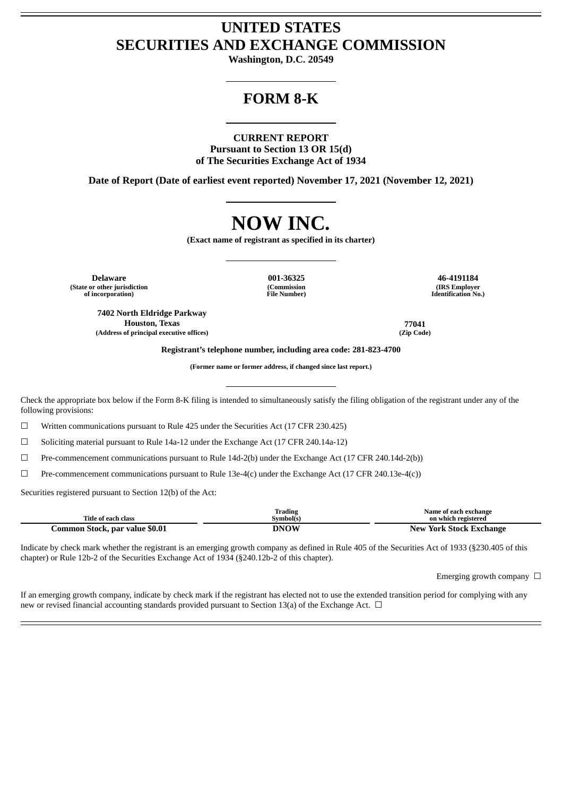# **UNITED STATES SECURITIES AND EXCHANGE COMMISSION**

**Washington, D.C. 20549**

# **FORM 8-K**

#### **CURRENT REPORT**

**Pursuant to Section 13 OR 15(d) of The Securities Exchange Act of 1934**

**Date of Report (Date of earliest event reported) November 17, 2021 (November 12, 2021)**

# **NOW INC.**

**(Exact name of registrant as specified in its charter)**

**Delaware 001-36325 46-4191184 (State or other jurisdiction of incorporation)**

**7402 North Eldridge Parkway Houston, Texas 77041 (Address of principal executive offices) (Zip Code)**

**(Commission File Number)**

**(IRS Employer Identification No.)**

**Registrant's telephone number, including area code: 281-823-4700**

**(Former name or former address, if changed since last report.)**

Check the appropriate box below if the Form 8-K filing is intended to simultaneously satisfy the filing obligation of the registrant under any of the following provisions:

 $\Box$  Written communications pursuant to Rule 425 under the Securities Act (17 CFR 230.425)

☐ Soliciting material pursuant to Rule 14a-12 under the Exchange Act (17 CFR 240.14a-12)

 $\Box$  Pre-commencement communications pursuant to Rule 14d-2(b) under the Exchange Act (17 CFR 240.14d-2(b))

 $\Box$  Pre-commencement communications pursuant to Rule 13e-4(c) under the Exchange Act (17 CFR 240.13e-4(c))

Securities registered pursuant to Section 12(b) of the Act:

| Title of each class            | Trading<br>Svmbol(s) | Name of each exchange<br>on which registered |  |
|--------------------------------|----------------------|----------------------------------------------|--|
| Common Stock, par value \$0.01 | <b>DNOW</b>          | <b>New York Stock Exchange</b>               |  |

Indicate by check mark whether the registrant is an emerging growth company as defined in Rule 405 of the Securities Act of 1933 (§230.405 of this chapter) or Rule 12b-2 of the Securities Exchange Act of 1934 (§240.12b-2 of this chapter).

Emerging growth company  $\Box$ 

If an emerging growth company, indicate by check mark if the registrant has elected not to use the extended transition period for complying with any new or revised financial accounting standards provided pursuant to Section 13(a) of the Exchange Act.  $\Box$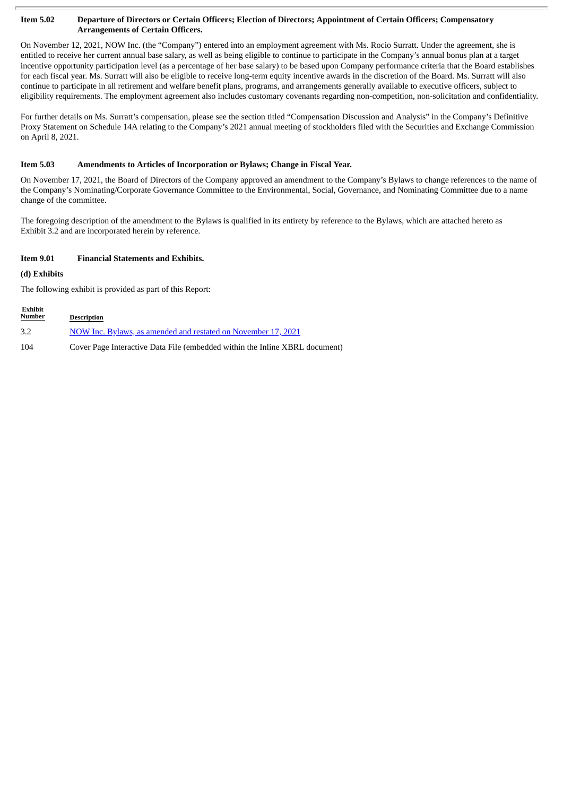#### Item 5.02 Departure of Directors or Certain Officers; Election of Directors; Appointment of Certain Officers; Compensatory **Arrangements of Certain Officers.**

On November 12, 2021, NOW Inc. (the "Company") entered into an employment agreement with Ms. Rocio Surratt. Under the agreement, she is entitled to receive her current annual base salary, as well as being eligible to continue to participate in the Company's annual bonus plan at a target incentive opportunity participation level (as a percentage of her base salary) to be based upon Company performance criteria that the Board establishes for each fiscal year. Ms. Surratt will also be eligible to receive long-term equity incentive awards in the discretion of the Board. Ms. Surratt will also continue to participate in all retirement and welfare benefit plans, programs, and arrangements generally available to executive officers, subject to eligibility requirements. The employment agreement also includes customary covenants regarding non-competition, non-solicitation and confidentiality.

For further details on Ms. Surratt's compensation, please see the section titled "Compensation Discussion and Analysis" in the Company's Definitive Proxy Statement on Schedule 14A relating to the Company's 2021 annual meeting of stockholders filed with the Securities and Exchange Commission on April 8, 2021.

#### **Item 5.03 Amendments to Articles of Incorporation or Bylaws; Change in Fiscal Year.**

On November 17, 2021, the Board of Directors of the Company approved an amendment to the Company's Bylaws to change references to the name of the Company's Nominating/Corporate Governance Committee to the Environmental, Social, Governance, and Nominating Committee due to a name change of the committee.

The foregoing description of the amendment to the Bylaws is qualified in its entirety by reference to the Bylaws, which are attached hereto as Exhibit 3.2 and are incorporated herein by reference.

#### **Item 9.01 Financial Statements and Exhibits.**

## **(d) Exhibits**

The following exhibit is provided as part of this Report:

| Exhibit<br><b>Number</b> | <b>Description</b>                                                          |
|--------------------------|-----------------------------------------------------------------------------|
| 3.2                      | NOW Inc. Bylaws, as amended and restated on November 17, 2021               |
| 104                      | Cover Page Interactive Data File (embedded within the Inline XBRL document) |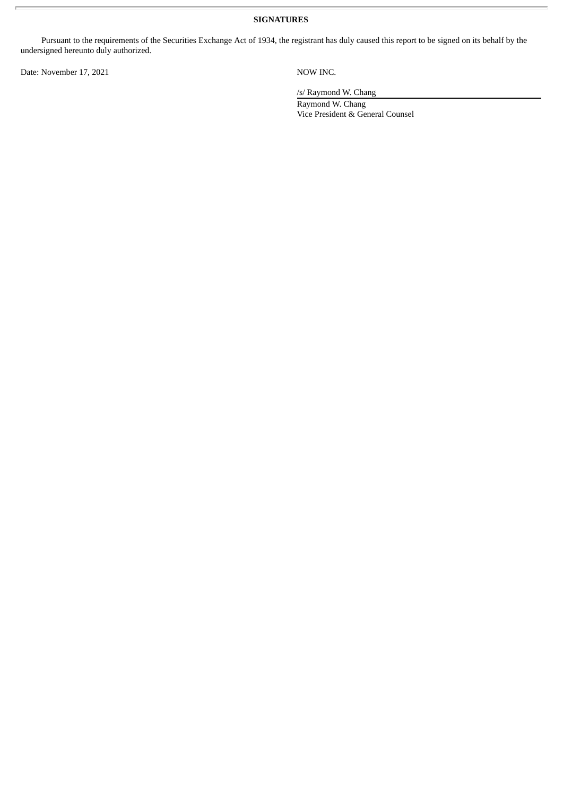**SIGNATURES**

Pursuant to the requirements of the Securities Exchange Act of 1934, the registrant has duly caused this report to be signed on its behalf by the undersigned hereunto duly authorized.

Date: November 17, 2021 NOW INC.

/s/ Raymond W. Chang

Raymond W. Chang Vice President & General Counsel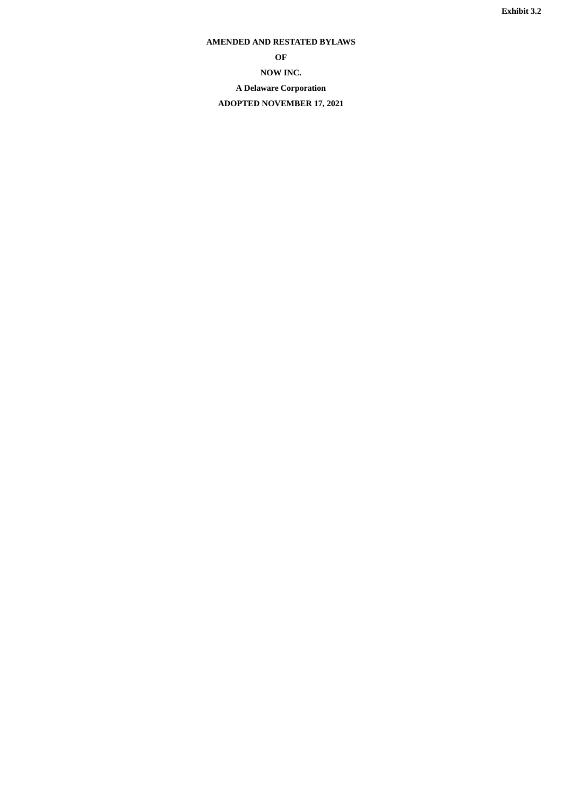# <span id="page-3-0"></span>**AMENDED AND RESTATED BYLAWS**

**OF NOW INC. A Delaware Corporation ADOPTED NOVEMBER 17, 2021**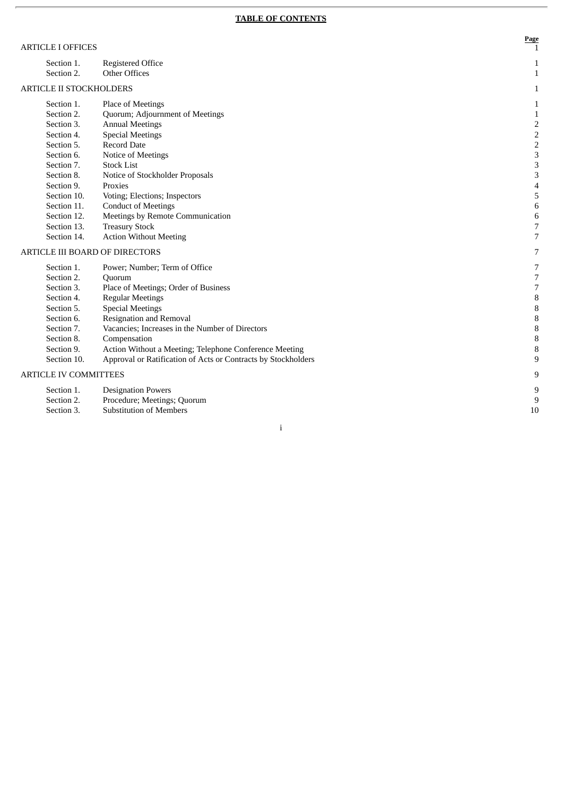| <b>ARTICLE I OFFICES</b>              |                                                                |
|---------------------------------------|----------------------------------------------------------------|
| Section 1.<br>Section 2.              | <b>Registered Office</b><br><b>Other Offices</b>               |
| <b>ARTICLE II STOCKHOLDERS</b>        |                                                                |
| Section 1.<br>Section 2.              | Place of Meetings<br>Quorum; Adjournment of Meetings           |
| Section 3.                            | <b>Annual Meetings</b>                                         |
| Section 4.<br>Section 5.              | <b>Special Meetings</b><br>Record Date                         |
| Section 6.<br>Section 7.              | Notice of Meetings<br><b>Stock List</b>                        |
| Section 8.                            | Notice of Stockholder Proposals                                |
| Section 9.<br>Section 10.             | Proxies<br>Voting; Elections; Inspectors                       |
| Section 11.<br>Section 12.            | <b>Conduct of Meetings</b><br>Meetings by Remote Communication |
| Section 13.                           | <b>Treasury Stock</b>                                          |
| Section 14.                           | <b>Action Without Meeting</b>                                  |
| <b>ARTICLE III BOARD OF DIRECTORS</b> |                                                                |
| Section 1.<br>Section 2.              | Power; Number; Term of Office<br>Quorum                        |
| Section 3.                            | Place of Meetings; Order of Business                           |
| Section 4.<br>Section 5.              | <b>Regular Meetings</b><br><b>Special Meetings</b>             |
| Section 6.                            | <b>Resignation and Removal</b>                                 |

- Section 7. Vacancies; Increases in the Number of Directors
- Section 8. Compensation
- Section 9. Action Without a Meeting; Telephone Conference Meeting
- Section 10 0. Approval or Ratification of Acts or Contracts by Stockholders

#### ARTICLE IV COMMITTEES

| Section 1.<br><b>Designation Powers</b> |  |
|-----------------------------------------|--|
|-----------------------------------------|--|

- Section 2. Procedure; Meetings; Quorum
- Section 3. Substitution of Members

1 0

**P a g e**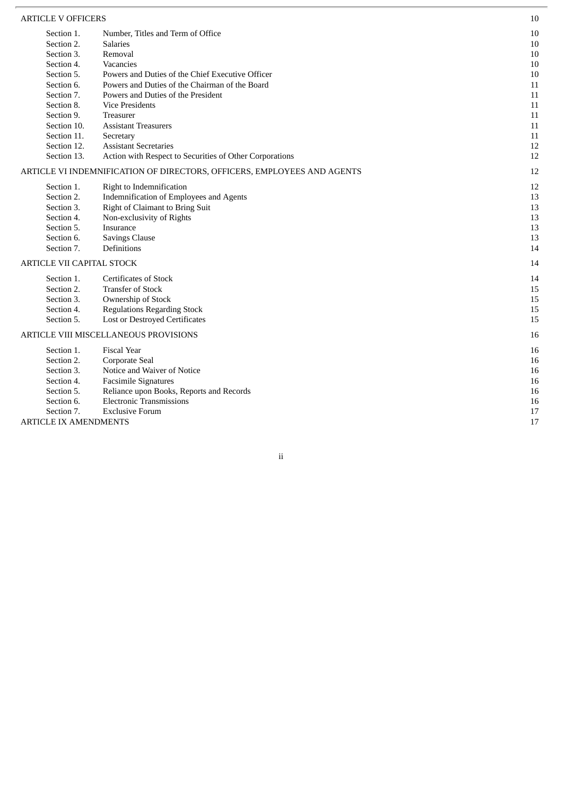| <b>ARTICLE V OFFICERS</b>        |                                                                         | 10     |
|----------------------------------|-------------------------------------------------------------------------|--------|
| Section 1.                       | Number, Titles and Term of Office                                       | $10\,$ |
| Section 2.                       | <b>Salaries</b>                                                         | $10\,$ |
| Section 3.                       | Removal                                                                 | $10\,$ |
| Section 4.                       | Vacancies                                                               | $10\,$ |
| Section 5.                       | Powers and Duties of the Chief Executive Officer                        | 10     |
| Section 6.                       | Powers and Duties of the Chairman of the Board                          | 11     |
| Section 7.                       | Powers and Duties of the President                                      | 11     |
| Section 8.                       | <b>Vice Presidents</b>                                                  | 11     |
| Section 9.                       | <b>Treasurer</b>                                                        | 11     |
| Section 10.                      | <b>Assistant Treasurers</b>                                             | 11     |
| Section 11.                      | Secretary                                                               | 11     |
| Section 12.                      | <b>Assistant Secretaries</b>                                            | 12     |
| Section 13.                      | Action with Respect to Securities of Other Corporations                 | 12     |
|                                  | ARTICLE VI INDEMNIFICATION OF DIRECTORS, OFFICERS, EMPLOYEES AND AGENTS | 12     |
| Section 1.                       | Right to Indemnification                                                | 12     |
| Section 2.                       | Indemnification of Employees and Agents                                 | 13     |
| Section 3.                       | Right of Claimant to Bring Suit                                         | 13     |
| Section 4.                       | Non-exclusivity of Rights                                               | 13     |
| Section 5.                       | Insurance                                                               | 13     |
| Section 6.                       | <b>Savings Clause</b>                                                   | 13     |
| Section 7.                       | Definitions                                                             | 14     |
| <b>ARTICLE VII CAPITAL STOCK</b> |                                                                         | 14     |
| Section 1.                       | <b>Certificates of Stock</b>                                            | 14     |
| Section 2.                       | <b>Transfer of Stock</b>                                                | 15     |
| Section 3.                       | Ownership of Stock                                                      | 15     |
| Section 4.                       | <b>Regulations Regarding Stock</b>                                      | 15     |
| Section 5.                       | <b>Lost or Destroyed Certificates</b>                                   | 15     |
|                                  | ARTICLE VIII MISCELLANEOUS PROVISIONS                                   | 16     |
| Section 1.                       | <b>Fiscal Year</b>                                                      | 16     |
| Section 2.                       | Corporate Seal                                                          | 16     |
| Section 3.                       | Notice and Waiver of Notice                                             | 16     |
| Section 4.                       | <b>Facsimile Signatures</b>                                             | 16     |
| Section 5.                       | Reliance upon Books, Reports and Records                                | 16     |
| Section 6.                       | <b>Electronic Transmissions</b>                                         | 16     |
| Section 7.                       | <b>Exclusive Forum</b>                                                  | 17     |
| <b>ARTICLE IX AMENDMENTS</b>     |                                                                         | 17     |
|                                  |                                                                         |        |

ii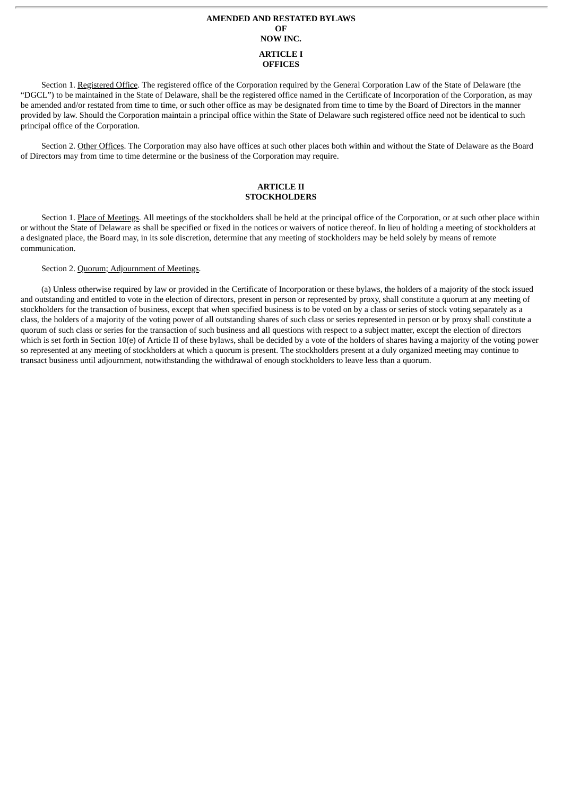# **AMENDED AND RESTATED BYLAWS OF NOW INC. ARTICLE I OFFICES**

Section 1. Registered Office. The registered office of the Corporation required by the General Corporation Law of the State of Delaware (the "DGCL") to be maintained in the State of Delaware, shall be the registered office named in the Certificate of Incorporation of the Corporation, as may be amended and/or restated from time to time, or such other office as may be designated from time to time by the Board of Directors in the manner provided by law. Should the Corporation maintain a principal office within the State of Delaware such registered office need not be identical to such principal office of the Corporation.

Section 2. Other Offices. The Corporation may also have offices at such other places both within and without the State of Delaware as the Board of Directors may from time to time determine or the business of the Corporation may require.

#### **ARTICLE II STOCKHOLDERS**

Section 1. Place of Meetings. All meetings of the stockholders shall be held at the principal office of the Corporation, or at such other place within or without the State of Delaware as shall be specified or fixed in the notices or waivers of notice thereof. In lieu of holding a meeting of stockholders at a designated place, the Board may, in its sole discretion, determine that any meeting of stockholders may be held solely by means of remote communication.

#### Section 2. Quorum; Adjournment of Meetings.

(a) Unless otherwise required by law or provided in the Certificate of Incorporation or these bylaws, the holders of a majority of the stock issued and outstanding and entitled to vote in the election of directors, present in person or represented by proxy, shall constitute a quorum at any meeting of stockholders for the transaction of business, except that when specified business is to be voted on by a class or series of stock voting separately as a class, the holders of a majority of the voting power of all outstanding shares of such class or series represented in person or by proxy shall constitute a quorum of such class or series for the transaction of such business and all questions with respect to a subject matter, except the election of directors which is set forth in Section 10(e) of Article II of these bylaws, shall be decided by a vote of the holders of shares having a majority of the voting power so represented at any meeting of stockholders at which a quorum is present. The stockholders present at a duly organized meeting may continue to transact business until adjournment, notwithstanding the withdrawal of enough stockholders to leave less than a quorum.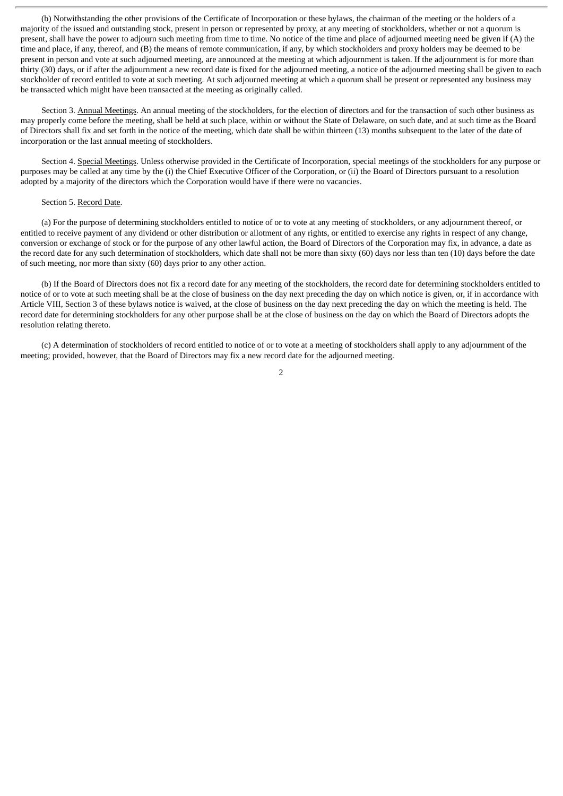(b) Notwithstanding the other provisions of the Certificate of Incorporation or these bylaws, the chairman of the meeting or the holders of a majority of the issued and outstanding stock, present in person or represented by proxy, at any meeting of stockholders, whether or not a quorum is present, shall have the power to adjourn such meeting from time to time. No notice of the time and place of adjourned meeting need be given if (A) the time and place, if any, thereof, and (B) the means of remote communication, if any, by which stockholders and proxy holders may be deemed to be present in person and vote at such adjourned meeting, are announced at the meeting at which adjournment is taken. If the adjournment is for more than thirty (30) days, or if after the adjournment a new record date is fixed for the adjourned meeting, a notice of the adjourned meeting shall be given to each stockholder of record entitled to vote at such meeting. At such adjourned meeting at which a quorum shall be present or represented any business may be transacted which might have been transacted at the meeting as originally called.

Section 3. Annual Meetings. An annual meeting of the stockholders, for the election of directors and for the transaction of such other business as may properly come before the meeting, shall be held at such place, within or without the State of Delaware, on such date, and at such time as the Board of Directors shall fix and set forth in the notice of the meeting, which date shall be within thirteen (13) months subsequent to the later of the date of incorporation or the last annual meeting of stockholders.

Section 4. Special Meetings. Unless otherwise provided in the Certificate of Incorporation, special meetings of the stockholders for any purpose or purposes may be called at any time by the (i) the Chief Executive Officer of the Corporation, or (ii) the Board of Directors pursuant to a resolution adopted by a majority of the directors which the Corporation would have if there were no vacancies.

#### Section 5. Record Date.

(a) For the purpose of determining stockholders entitled to notice of or to vote at any meeting of stockholders, or any adjournment thereof, or entitled to receive payment of any dividend or other distribution or allotment of any rights, or entitled to exercise any rights in respect of any change, conversion or exchange of stock or for the purpose of any other lawful action, the Board of Directors of the Corporation may fix, in advance, a date as the record date for any such determination of stockholders, which date shall not be more than sixty (60) days nor less than ten (10) days before the date of such meeting, nor more than sixty (60) days prior to any other action.

(b) If the Board of Directors does not fix a record date for any meeting of the stockholders, the record date for determining stockholders entitled to notice of or to vote at such meeting shall be at the close of business on the day next preceding the day on which notice is given, or, if in accordance with Article VIII, Section 3 of these bylaws notice is waived, at the close of business on the day next preceding the day on which the meeting is held. The record date for determining stockholders for any other purpose shall be at the close of business on the day on which the Board of Directors adopts the resolution relating thereto.

(c) A determination of stockholders of record entitled to notice of or to vote at a meeting of stockholders shall apply to any adjournment of the meeting; provided, however, that the Board of Directors may fix a new record date for the adjourned meeting.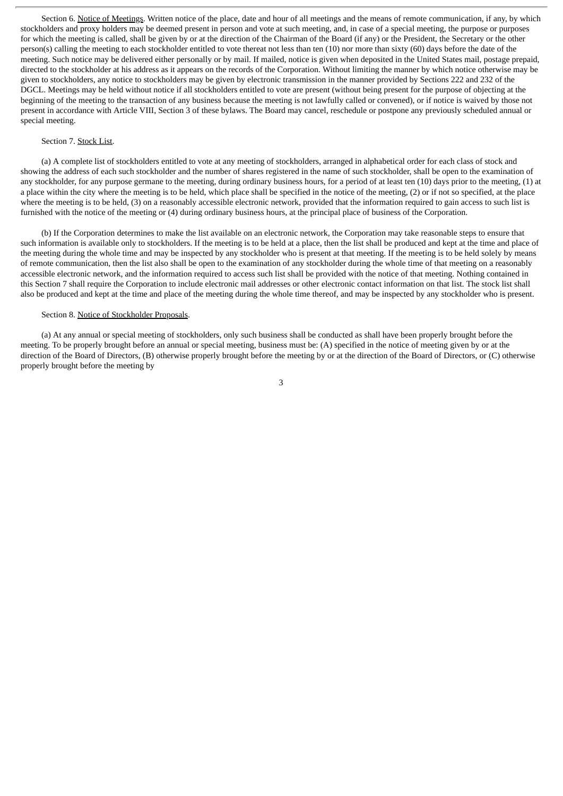Section 6. Notice of Meetings. Written notice of the place, date and hour of all meetings and the means of remote communication, if any, by which stockholders and proxy holders may be deemed present in person and vote at such meeting, and, in case of a special meeting, the purpose or purposes for which the meeting is called, shall be given by or at the direction of the Chairman of the Board (if any) or the President, the Secretary or the other person(s) calling the meeting to each stockholder entitled to vote thereat not less than ten (10) nor more than sixty (60) days before the date of the meeting. Such notice may be delivered either personally or by mail. If mailed, notice is given when deposited in the United States mail, postage prepaid, directed to the stockholder at his address as it appears on the records of the Corporation. Without limiting the manner by which notice otherwise may be given to stockholders, any notice to stockholders may be given by electronic transmission in the manner provided by Sections 222 and 232 of the DGCL. Meetings may be held without notice if all stockholders entitled to vote are present (without being present for the purpose of objecting at the beginning of the meeting to the transaction of any business because the meeting is not lawfully called or convened), or if notice is waived by those not present in accordance with Article VIII, Section 3 of these bylaws. The Board may cancel, reschedule or postpone any previously scheduled annual or special meeting.

#### Section 7. Stock List.

(a) A complete list of stockholders entitled to vote at any meeting of stockholders, arranged in alphabetical order for each class of stock and showing the address of each such stockholder and the number of shares registered in the name of such stockholder, shall be open to the examination of any stockholder, for any purpose germane to the meeting, during ordinary business hours, for a period of at least ten (10) days prior to the meeting, (1) at a place within the city where the meeting is to be held, which place shall be specified in the notice of the meeting, (2) or if not so specified, at the place where the meeting is to be held, (3) on a reasonably accessible electronic network, provided that the information required to gain access to such list is furnished with the notice of the meeting or (4) during ordinary business hours, at the principal place of business of the Corporation.

(b) If the Corporation determines to make the list available on an electronic network, the Corporation may take reasonable steps to ensure that such information is available only to stockholders. If the meeting is to be held at a place, then the list shall be produced and kept at the time and place of the meeting during the whole time and may be inspected by any stockholder who is present at that meeting. If the meeting is to be held solely by means of remote communication, then the list also shall be open to the examination of any stockholder during the whole time of that meeting on a reasonably accessible electronic network, and the information required to access such list shall be provided with the notice of that meeting. Nothing contained in this Section 7 shall require the Corporation to include electronic mail addresses or other electronic contact information on that list. The stock list shall also be produced and kept at the time and place of the meeting during the whole time thereof, and may be inspected by any stockholder who is present.

#### Section 8. Notice of Stockholder Proposals.

(a) At any annual or special meeting of stockholders, only such business shall be conducted as shall have been properly brought before the meeting. To be properly brought before an annual or special meeting, business must be: (A) specified in the notice of meeting given by or at the direction of the Board of Directors, (B) otherwise properly brought before the meeting by or at the direction of the Board of Directors, or (C) otherwise properly brought before the meeting by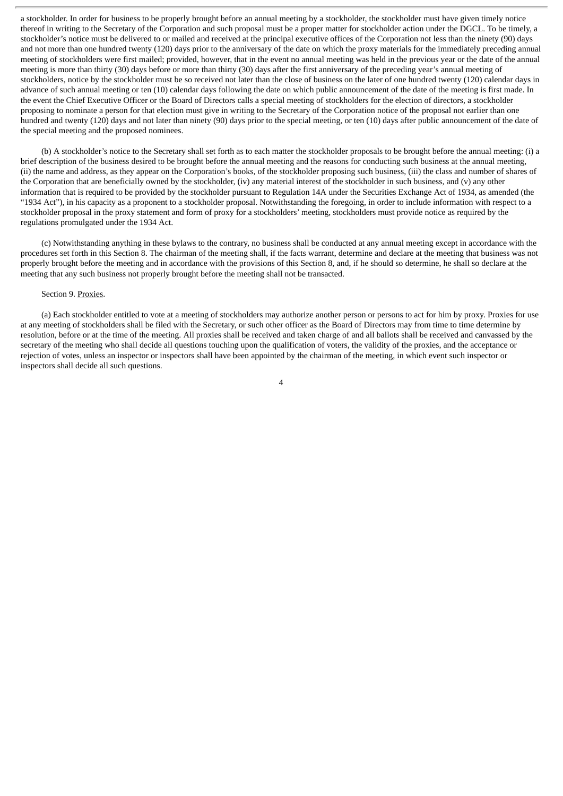a stockholder. In order for business to be properly brought before an annual meeting by a stockholder, the stockholder must have given timely notice thereof in writing to the Secretary of the Corporation and such proposal must be a proper matter for stockholder action under the DGCL. To be timely, a stockholder's notice must be delivered to or mailed and received at the principal executive offices of the Corporation not less than the ninety (90) days and not more than one hundred twenty (120) days prior to the anniversary of the date on which the proxy materials for the immediately preceding annual meeting of stockholders were first mailed; provided, however, that in the event no annual meeting was held in the previous year or the date of the annual meeting is more than thirty (30) days before or more than thirty (30) days after the first anniversary of the preceding year's annual meeting of stockholders, notice by the stockholder must be so received not later than the close of business on the later of one hundred twenty (120) calendar days in advance of such annual meeting or ten (10) calendar days following the date on which public announcement of the date of the meeting is first made. In the event the Chief Executive Officer or the Board of Directors calls a special meeting of stockholders for the election of directors, a stockholder proposing to nominate a person for that election must give in writing to the Secretary of the Corporation notice of the proposal not earlier than one hundred and twenty (120) days and not later than ninety (90) days prior to the special meeting, or ten (10) days after public announcement of the date of the special meeting and the proposed nominees.

(b) A stockholder's notice to the Secretary shall set forth as to each matter the stockholder proposals to be brought before the annual meeting: (i) a brief description of the business desired to be brought before the annual meeting and the reasons for conducting such business at the annual meeting, (ii) the name and address, as they appear on the Corporation's books, of the stockholder proposing such business, (iii) the class and number of shares of the Corporation that are beneficially owned by the stockholder, (iv) any material interest of the stockholder in such business, and (v) any other information that is required to be provided by the stockholder pursuant to Regulation 14A under the Securities Exchange Act of 1934, as amended (the "1934 Act"), in his capacity as a proponent to a stockholder proposal. Notwithstanding the foregoing, in order to include information with respect to a stockholder proposal in the proxy statement and form of proxy for a stockholders' meeting, stockholders must provide notice as required by the regulations promulgated under the 1934 Act.

(c) Notwithstanding anything in these bylaws to the contrary, no business shall be conducted at any annual meeting except in accordance with the procedures set forth in this Section 8. The chairman of the meeting shall, if the facts warrant, determine and declare at the meeting that business was not properly brought before the meeting and in accordance with the provisions of this Section 8, and, if he should so determine, he shall so declare at the meeting that any such business not properly brought before the meeting shall not be transacted.

#### Section 9. Proxies.

(a) Each stockholder entitled to vote at a meeting of stockholders may authorize another person or persons to act for him by proxy. Proxies for use at any meeting of stockholders shall be filed with the Secretary, or such other officer as the Board of Directors may from time to time determine by resolution, before or at the time of the meeting. All proxies shall be received and taken charge of and all ballots shall be received and canvassed by the secretary of the meeting who shall decide all questions touching upon the qualification of voters, the validity of the proxies, and the acceptance or rejection of votes, unless an inspector or inspectors shall have been appointed by the chairman of the meeting, in which event such inspector or inspectors shall decide all such questions.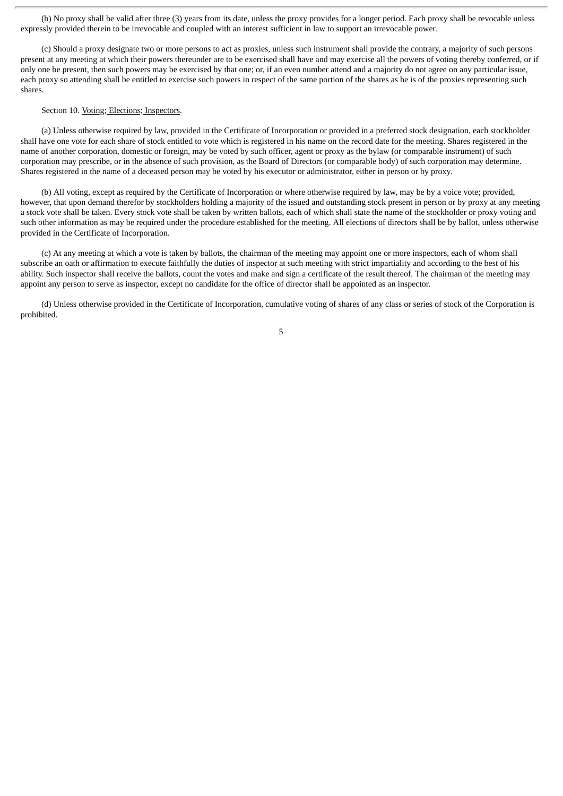(b) No proxy shall be valid after three (3) years from its date, unless the proxy provides for a longer period. Each proxy shall be revocable unless expressly provided therein to be irrevocable and coupled with an interest sufficient in law to support an irrevocable power.

(c) Should a proxy designate two or more persons to act as proxies, unless such instrument shall provide the contrary, a majority of such persons present at any meeting at which their powers thereunder are to be exercised shall have and may exercise all the powers of voting thereby conferred, or if only one be present, then such powers may be exercised by that one; or, if an even number attend and a majority do not agree on any particular issue, each proxy so attending shall be entitled to exercise such powers in respect of the same portion of the shares as he is of the proxies representing such shares.

#### Section 10. Voting; Elections; Inspectors.

(a) Unless otherwise required by law, provided in the Certificate of Incorporation or provided in a preferred stock designation, each stockholder shall have one vote for each share of stock entitled to vote which is registered in his name on the record date for the meeting. Shares registered in the name of another corporation, domestic or foreign, may be voted by such officer, agent or proxy as the bylaw (or comparable instrument) of such corporation may prescribe, or in the absence of such provision, as the Board of Directors (or comparable body) of such corporation may determine. Shares registered in the name of a deceased person may be voted by his executor or administrator, either in person or by proxy.

(b) All voting, except as required by the Certificate of Incorporation or where otherwise required by law, may be by a voice vote; provided, however, that upon demand therefor by stockholders holding a majority of the issued and outstanding stock present in person or by proxy at any meeting a stock vote shall be taken. Every stock vote shall be taken by written ballots, each of which shall state the name of the stockholder or proxy voting and such other information as may be required under the procedure established for the meeting. All elections of directors shall be by ballot, unless otherwise provided in the Certificate of Incorporation.

(c) At any meeting at which a vote is taken by ballots, the chairman of the meeting may appoint one or more inspectors, each of whom shall subscribe an oath or affirmation to execute faithfully the duties of inspector at such meeting with strict impartiality and according to the best of his ability. Such inspector shall receive the ballots, count the votes and make and sign a certificate of the result thereof. The chairman of the meeting may appoint any person to serve as inspector, except no candidate for the office of director shall be appointed as an inspector.

(d) Unless otherwise provided in the Certificate of Incorporation, cumulative voting of shares of any class or series of stock of the Corporation is prohibited.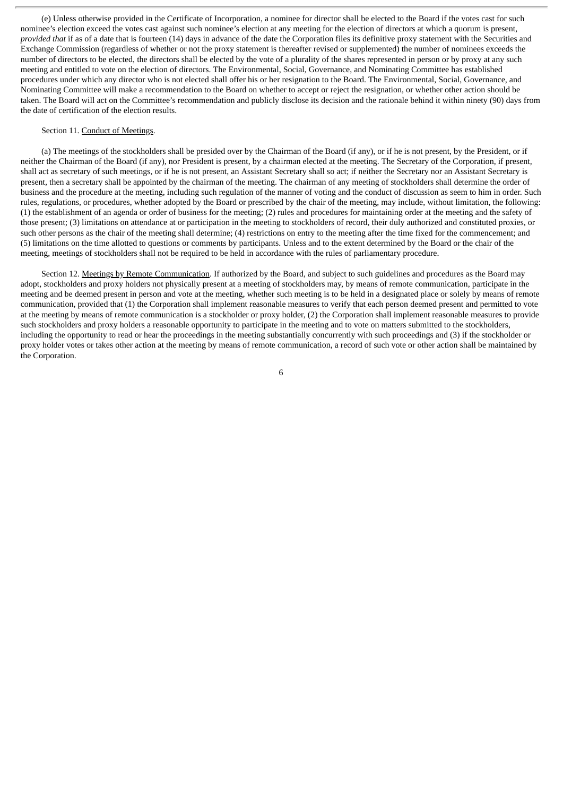(e) Unless otherwise provided in the Certificate of Incorporation, a nominee for director shall be elected to the Board if the votes cast for such nominee's election exceed the votes cast against such nominee's election at any meeting for the election of directors at which a quorum is present, *provided that* if as of a date that is fourteen (14) days in advance of the date the Corporation files its definitive proxy statement with the Securities and Exchange Commission (regardless of whether or not the proxy statement is thereafter revised or supplemented) the number of nominees exceeds the number of directors to be elected, the directors shall be elected by the vote of a plurality of the shares represented in person or by proxy at any such meeting and entitled to vote on the election of directors. The Environmental, Social, Governance, and Nominating Committee has established procedures under which any director who is not elected shall offer his or her resignation to the Board. The Environmental, Social, Governance, and Nominating Committee will make a recommendation to the Board on whether to accept or reject the resignation, or whether other action should be taken. The Board will act on the Committee's recommendation and publicly disclose its decision and the rationale behind it within ninety (90) days from the date of certification of the election results.

#### Section 11. Conduct of Meetings.

(a) The meetings of the stockholders shall be presided over by the Chairman of the Board (if any), or if he is not present, by the President, or if neither the Chairman of the Board (if any), nor President is present, by a chairman elected at the meeting. The Secretary of the Corporation, if present, shall act as secretary of such meetings, or if he is not present, an Assistant Secretary shall so act; if neither the Secretary nor an Assistant Secretary is present, then a secretary shall be appointed by the chairman of the meeting. The chairman of any meeting of stockholders shall determine the order of business and the procedure at the meeting, including such regulation of the manner of voting and the conduct of discussion as seem to him in order. Such rules, regulations, or procedures, whether adopted by the Board or prescribed by the chair of the meeting, may include, without limitation, the following: (1) the establishment of an agenda or order of business for the meeting; (2) rules and procedures for maintaining order at the meeting and the safety of those present; (3) limitations on attendance at or participation in the meeting to stockholders of record, their duly authorized and constituted proxies, or such other persons as the chair of the meeting shall determine; (4) restrictions on entry to the meeting after the time fixed for the commencement; and (5) limitations on the time allotted to questions or comments by participants. Unless and to the extent determined by the Board or the chair of the meeting, meetings of stockholders shall not be required to be held in accordance with the rules of parliamentary procedure.

Section 12. Meetings by Remote Communication. If authorized by the Board, and subject to such guidelines and procedures as the Board may adopt, stockholders and proxy holders not physically present at a meeting of stockholders may, by means of remote communication, participate in the meeting and be deemed present in person and vote at the meeting, whether such meeting is to be held in a designated place or solely by means of remote communication, provided that (1) the Corporation shall implement reasonable measures to verify that each person deemed present and permitted to vote at the meeting by means of remote communication is a stockholder or proxy holder, (2) the Corporation shall implement reasonable measures to provide such stockholders and proxy holders a reasonable opportunity to participate in the meeting and to vote on matters submitted to the stockholders, including the opportunity to read or hear the proceedings in the meeting substantially concurrently with such proceedings and (3) if the stockholder or proxy holder votes or takes other action at the meeting by means of remote communication, a record of such vote or other action shall be maintained by the Corporation.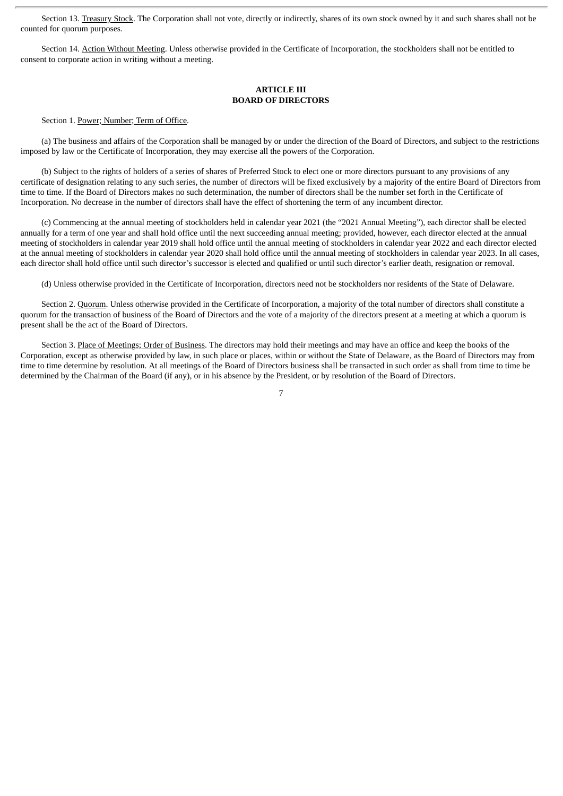Section 13. Treasury Stock. The Corporation shall not vote, directly or indirectly, shares of its own stock owned by it and such shares shall not be counted for quorum purposes.

Section 14. Action Without Meeting. Unless otherwise provided in the Certificate of Incorporation, the stockholders shall not be entitled to consent to corporate action in writing without a meeting.

#### **ARTICLE III BOARD OF DIRECTORS**

Section 1. Power; Number; Term of Office.

(a) The business and affairs of the Corporation shall be managed by or under the direction of the Board of Directors, and subject to the restrictions imposed by law or the Certificate of Incorporation, they may exercise all the powers of the Corporation.

(b) Subject to the rights of holders of a series of shares of Preferred Stock to elect one or more directors pursuant to any provisions of any certificate of designation relating to any such series, the number of directors will be fixed exclusively by a majority of the entire Board of Directors from time to time. If the Board of Directors makes no such determination, the number of directors shall be the number set forth in the Certificate of Incorporation. No decrease in the number of directors shall have the effect of shortening the term of any incumbent director.

(c) Commencing at the annual meeting of stockholders held in calendar year 2021 (the "2021 Annual Meeting"), each director shall be elected annually for a term of one year and shall hold office until the next succeeding annual meeting; provided, however, each director elected at the annual meeting of stockholders in calendar year 2019 shall hold office until the annual meeting of stockholders in calendar year 2022 and each director elected at the annual meeting of stockholders in calendar year 2020 shall hold office until the annual meeting of stockholders in calendar year 2023. In all cases, each director shall hold office until such director's successor is elected and qualified or until such director's earlier death, resignation or removal.

(d) Unless otherwise provided in the Certificate of Incorporation, directors need not be stockholders nor residents of the State of Delaware.

Section 2. Quorum. Unless otherwise provided in the Certificate of Incorporation, a majority of the total number of directors shall constitute a quorum for the transaction of business of the Board of Directors and the vote of a majority of the directors present at a meeting at which a quorum is present shall be the act of the Board of Directors.

Section 3. Place of Meetings; Order of Business. The directors may hold their meetings and may have an office and keep the books of the Corporation, except as otherwise provided by law, in such place or places, within or without the State of Delaware, as the Board of Directors may from time to time determine by resolution. At all meetings of the Board of Directors business shall be transacted in such order as shall from time to time be determined by the Chairman of the Board (if any), or in his absence by the President, or by resolution of the Board of Directors.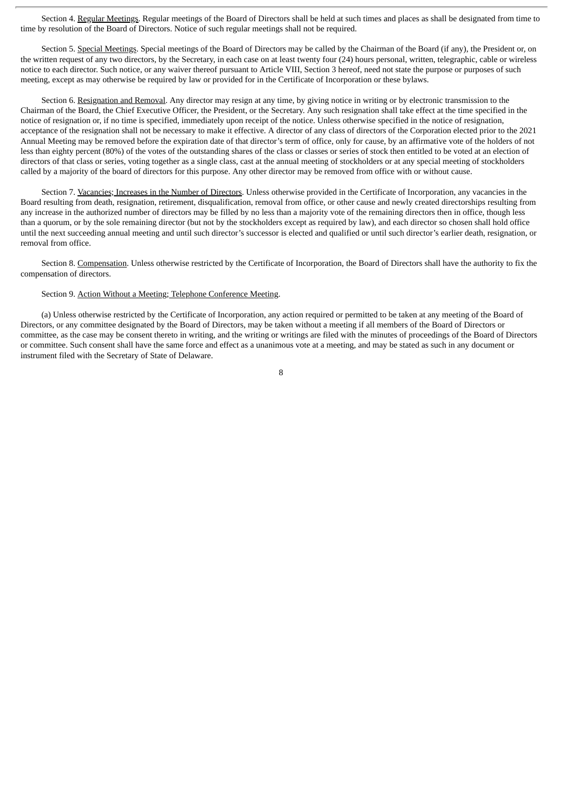Section 4. Regular Meetings. Regular meetings of the Board of Directors shall be held at such times and places as shall be designated from time to time by resolution of the Board of Directors. Notice of such regular meetings shall not be required.

Section 5. Special Meetings. Special meetings of the Board of Directors may be called by the Chairman of the Board (if any), the President or, on the written request of any two directors, by the Secretary, in each case on at least twenty four (24) hours personal, written, telegraphic, cable or wireless notice to each director. Such notice, or any waiver thereof pursuant to Article VIII, Section 3 hereof, need not state the purpose or purposes of such meeting, except as may otherwise be required by law or provided for in the Certificate of Incorporation or these bylaws.

Section 6. Resignation and Removal. Any director may resign at any time, by giving notice in writing or by electronic transmission to the Chairman of the Board, the Chief Executive Officer, the President, or the Secretary. Any such resignation shall take effect at the time specified in the notice of resignation or, if no time is specified, immediately upon receipt of the notice. Unless otherwise specified in the notice of resignation, acceptance of the resignation shall not be necessary to make it effective. A director of any class of directors of the Corporation elected prior to the 2021 Annual Meeting may be removed before the expiration date of that director's term of office, only for cause, by an affirmative vote of the holders of not less than eighty percent (80%) of the votes of the outstanding shares of the class or classes or series of stock then entitled to be voted at an election of directors of that class or series, voting together as a single class, cast at the annual meeting of stockholders or at any special meeting of stockholders called by a majority of the board of directors for this purpose. Any other director may be removed from office with or without cause.

Section 7. Vacancies; Increases in the Number of Directors. Unless otherwise provided in the Certificate of Incorporation, any vacancies in the Board resulting from death, resignation, retirement, disqualification, removal from office, or other cause and newly created directorships resulting from any increase in the authorized number of directors may be filled by no less than a majority vote of the remaining directors then in office, though less than a quorum, or by the sole remaining director (but not by the stockholders except as required by law), and each director so chosen shall hold office until the next succeeding annual meeting and until such director's successor is elected and qualified or until such director's earlier death, resignation, or removal from office.

Section 8. Compensation. Unless otherwise restricted by the Certificate of Incorporation, the Board of Directors shall have the authority to fix the compensation of directors.

#### Section 9. Action Without a Meeting; Telephone Conference Meeting.

(a) Unless otherwise restricted by the Certificate of Incorporation, any action required or permitted to be taken at any meeting of the Board of Directors, or any committee designated by the Board of Directors, may be taken without a meeting if all members of the Board of Directors or committee, as the case may be consent thereto in writing, and the writing or writings are filed with the minutes of proceedings of the Board of Directors or committee. Such consent shall have the same force and effect as a unanimous vote at a meeting, and may be stated as such in any document or instrument filed with the Secretary of State of Delaware.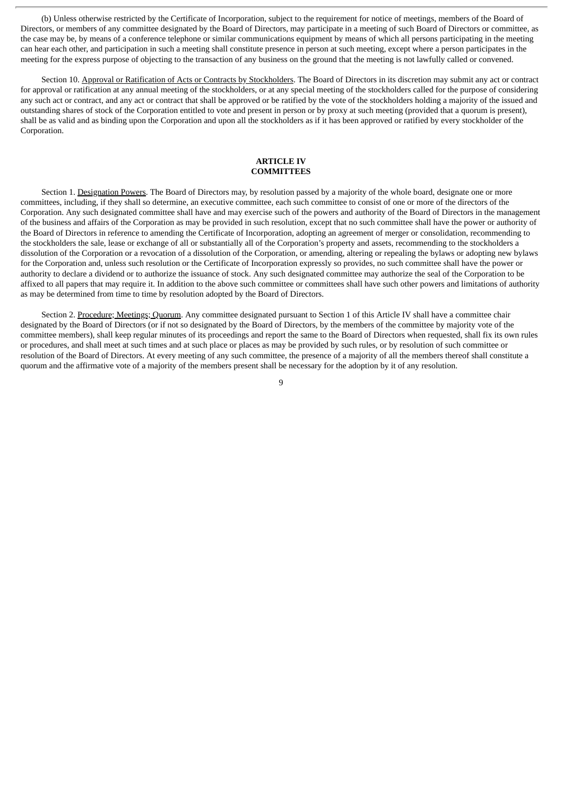(b) Unless otherwise restricted by the Certificate of Incorporation, subject to the requirement for notice of meetings, members of the Board of Directors, or members of any committee designated by the Board of Directors, may participate in a meeting of such Board of Directors or committee, as the case may be, by means of a conference telephone or similar communications equipment by means of which all persons participating in the meeting can hear each other, and participation in such a meeting shall constitute presence in person at such meeting, except where a person participates in the meeting for the express purpose of objecting to the transaction of any business on the ground that the meeting is not lawfully called or convened.

Section 10. Approval or Ratification of Acts or Contracts by Stockholders. The Board of Directors in its discretion may submit any act or contract for approval or ratification at any annual meeting of the stockholders, or at any special meeting of the stockholders called for the purpose of considering any such act or contract, and any act or contract that shall be approved or be ratified by the vote of the stockholders holding a majority of the issued and outstanding shares of stock of the Corporation entitled to vote and present in person or by proxy at such meeting (provided that a quorum is present), shall be as valid and as binding upon the Corporation and upon all the stockholders as if it has been approved or ratified by every stockholder of the Corporation.

#### **ARTICLE IV COMMITTEES**

Section 1. Designation Powers. The Board of Directors may, by resolution passed by a majority of the whole board, designate one or more committees, including, if they shall so determine, an executive committee, each such committee to consist of one or more of the directors of the Corporation. Any such designated committee shall have and may exercise such of the powers and authority of the Board of Directors in the management of the business and affairs of the Corporation as may be provided in such resolution, except that no such committee shall have the power or authority of the Board of Directors in reference to amending the Certificate of Incorporation, adopting an agreement of merger or consolidation, recommending to the stockholders the sale, lease or exchange of all or substantially all of the Corporation's property and assets, recommending to the stockholders a dissolution of the Corporation or a revocation of a dissolution of the Corporation, or amending, altering or repealing the bylaws or adopting new bylaws for the Corporation and, unless such resolution or the Certificate of Incorporation expressly so provides, no such committee shall have the power or authority to declare a dividend or to authorize the issuance of stock. Any such designated committee may authorize the seal of the Corporation to be affixed to all papers that may require it. In addition to the above such committee or committees shall have such other powers and limitations of authority as may be determined from time to time by resolution adopted by the Board of Directors.

Section 2. Procedure; Meetings; Quorum. Any committee designated pursuant to Section 1 of this Article IV shall have a committee chair designated by the Board of Directors (or if not so designated by the Board of Directors, by the members of the committee by majority vote of the committee members), shall keep regular minutes of its proceedings and report the same to the Board of Directors when requested, shall fix its own rules or procedures, and shall meet at such times and at such place or places as may be provided by such rules, or by resolution of such committee or resolution of the Board of Directors. At every meeting of any such committee, the presence of a majority of all the members thereof shall constitute a quorum and the affirmative vote of a majority of the members present shall be necessary for the adoption by it of any resolution.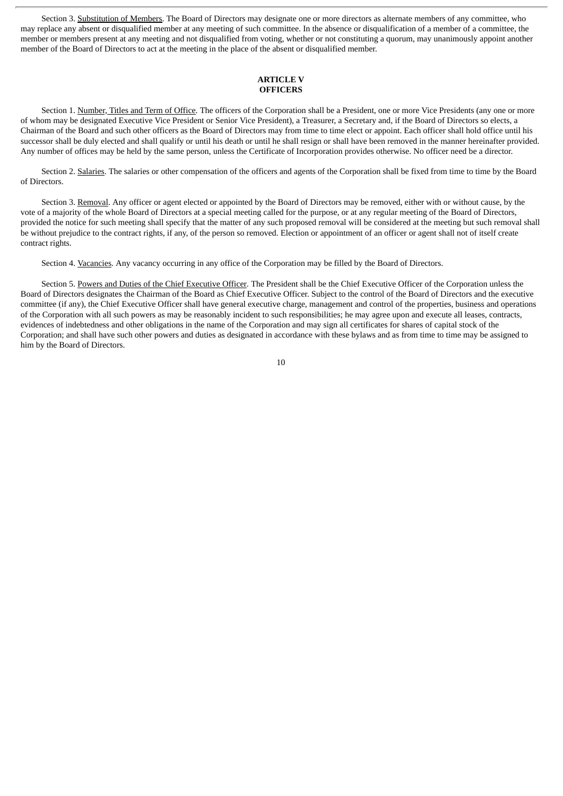Section 3. Substitution of Members. The Board of Directors may designate one or more directors as alternate members of any committee, who may replace any absent or disqualified member at any meeting of such committee. In the absence or disqualification of a member of a committee, the member or members present at any meeting and not disqualified from voting, whether or not constituting a quorum, may unanimously appoint another member of the Board of Directors to act at the meeting in the place of the absent or disqualified member.

### **ARTICLE V OFFICERS**

Section 1. Number, Titles and Term of Office. The officers of the Corporation shall be a President, one or more Vice Presidents (any one or more of whom may be designated Executive Vice President or Senior Vice President), a Treasurer, a Secretary and, if the Board of Directors so elects, a Chairman of the Board and such other officers as the Board of Directors may from time to time elect or appoint. Each officer shall hold office until his successor shall be duly elected and shall qualify or until his death or until he shall resign or shall have been removed in the manner hereinafter provided. Any number of offices may be held by the same person, unless the Certificate of Incorporation provides otherwise. No officer need be a director.

Section 2. Salaries. The salaries or other compensation of the officers and agents of the Corporation shall be fixed from time to time by the Board of Directors.

Section 3. Removal. Any officer or agent elected or appointed by the Board of Directors may be removed, either with or without cause, by the vote of a majority of the whole Board of Directors at a special meeting called for the purpose, or at any regular meeting of the Board of Directors, provided the notice for such meeting shall specify that the matter of any such proposed removal will be considered at the meeting but such removal shall be without prejudice to the contract rights, if any, of the person so removed. Election or appointment of an officer or agent shall not of itself create contract rights.

Section 4. Vacancies. Any vacancy occurring in any office of the Corporation may be filled by the Board of Directors.

Section 5. Powers and Duties of the Chief Executive Officer. The President shall be the Chief Executive Officer of the Corporation unless the Board of Directors designates the Chairman of the Board as Chief Executive Officer. Subject to the control of the Board of Directors and the executive committee (if any), the Chief Executive Officer shall have general executive charge, management and control of the properties, business and operations of the Corporation with all such powers as may be reasonably incident to such responsibilities; he may agree upon and execute all leases, contracts, evidences of indebtedness and other obligations in the name of the Corporation and may sign all certificates for shares of capital stock of the Corporation; and shall have such other powers and duties as designated in accordance with these bylaws and as from time to time may be assigned to him by the Board of Directors.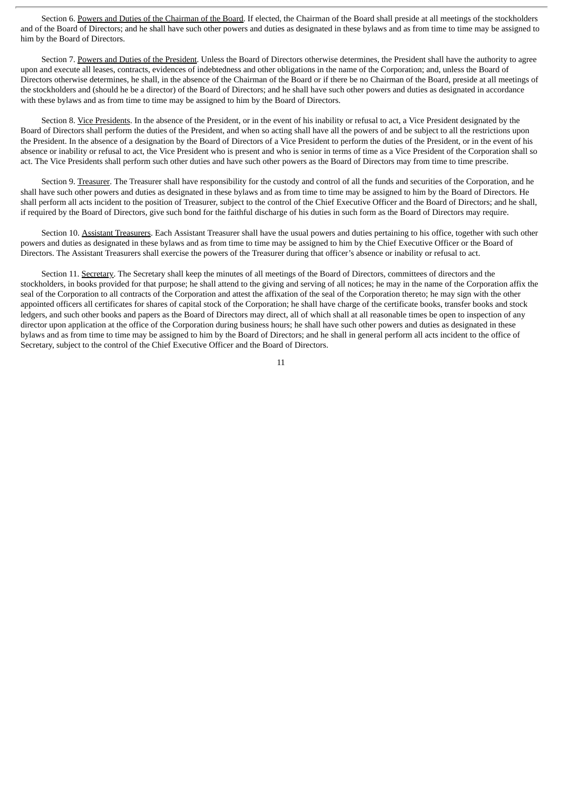Section 6. Powers and Duties of the Chairman of the Board. If elected, the Chairman of the Board shall preside at all meetings of the stockholders and of the Board of Directors; and he shall have such other powers and duties as designated in these bylaws and as from time to time may be assigned to him by the Board of Directors.

Section 7. Powers and Duties of the President. Unless the Board of Directors otherwise determines, the President shall have the authority to agree upon and execute all leases, contracts, evidences of indebtedness and other obligations in the name of the Corporation; and, unless the Board of Directors otherwise determines, he shall, in the absence of the Chairman of the Board or if there be no Chairman of the Board, preside at all meetings of the stockholders and (should he be a director) of the Board of Directors; and he shall have such other powers and duties as designated in accordance with these bylaws and as from time to time may be assigned to him by the Board of Directors.

Section 8. Vice Presidents. In the absence of the President, or in the event of his inability or refusal to act, a Vice President designated by the Board of Directors shall perform the duties of the President, and when so acting shall have all the powers of and be subject to all the restrictions upon the President. In the absence of a designation by the Board of Directors of a Vice President to perform the duties of the President, or in the event of his absence or inability or refusal to act, the Vice President who is present and who is senior in terms of time as a Vice President of the Corporation shall so act. The Vice Presidents shall perform such other duties and have such other powers as the Board of Directors may from time to time prescribe.

Section 9. Treasurer. The Treasurer shall have responsibility for the custody and control of all the funds and securities of the Corporation, and he shall have such other powers and duties as designated in these bylaws and as from time to time may be assigned to him by the Board of Directors. He shall perform all acts incident to the position of Treasurer, subject to the control of the Chief Executive Officer and the Board of Directors; and he shall, if required by the Board of Directors, give such bond for the faithful discharge of his duties in such form as the Board of Directors may require.

Section 10. Assistant Treasurers. Each Assistant Treasurer shall have the usual powers and duties pertaining to his office, together with such other powers and duties as designated in these bylaws and as from time to time may be assigned to him by the Chief Executive Officer or the Board of Directors. The Assistant Treasurers shall exercise the powers of the Treasurer during that officer's absence or inability or refusal to act.

Section 11. Secretary. The Secretary shall keep the minutes of all meetings of the Board of Directors, committees of directors and the stockholders, in books provided for that purpose; he shall attend to the giving and serving of all notices; he may in the name of the Corporation affix the seal of the Corporation to all contracts of the Corporation and attest the affixation of the seal of the Corporation thereto; he may sign with the other appointed officers all certificates for shares of capital stock of the Corporation; he shall have charge of the certificate books, transfer books and stock ledgers, and such other books and papers as the Board of Directors may direct, all of which shall at all reasonable times be open to inspection of any director upon application at the office of the Corporation during business hours; he shall have such other powers and duties as designated in these bylaws and as from time to time may be assigned to him by the Board of Directors; and he shall in general perform all acts incident to the office of Secretary, subject to the control of the Chief Executive Officer and the Board of Directors.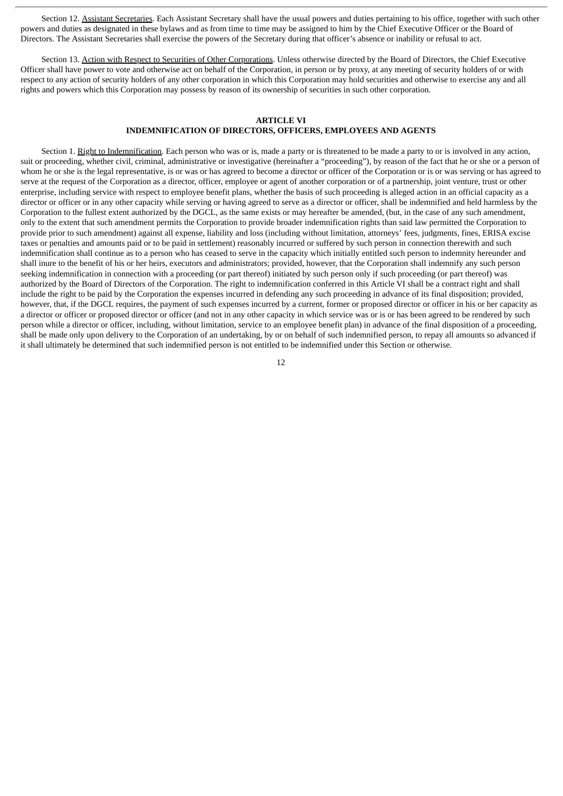Section 12. Assistant Secretaries. Each Assistant Secretary shall have the usual powers and duties pertaining to his office, together with such other powers and duties as designated in these bylaws and as from time to time may be assigned to him by the Chief Executive Officer or the Board of Directors. The Assistant Secretaries shall exercise the powers of the Secretary during that officer's absence or inability or refusal to act.

Section 13. Action with Respect to Securities of Other Corporations. Unless otherwise directed by the Board of Directors, the Chief Executive Officer shall have power to vote and otherwise act on behalf of the Corporation, in person or by proxy, at any meeting of security holders of or with respect to any action of security holders of any other corporation in which this Corporation may hold securities and otherwise to exercise any and all rights and powers which this Corporation may possess by reason of its ownership of securities in such other corporation.

## **ARTICLE VI INDEMNIFICATION OF DIRECTORS, OFFICERS, EMPLOYEES AND AGENTS**

Section 1. Right to Indemnification. Each person who was or is, made a party or is threatened to be made a party to or is involved in any action, suit or proceeding, whether civil, criminal, administrative or investigative (hereinafter a "proceeding"), by reason of the fact that he or she or a person of whom he or she is the legal representative, is or was or has agreed to become a director or officer of the Corporation or is or was serving or has agreed to serve at the request of the Corporation as a director, officer, employee or agent of another corporation or of a partnership, joint venture, trust or other enterprise, including service with respect to employee benefit plans, whether the basis of such proceeding is alleged action in an official capacity as a director or officer or in any other capacity while serving or having agreed to serve as a director or officer, shall be indemnified and held harmless by the Corporation to the fullest extent authorized by the DGCL, as the same exists or may hereafter be amended, (but, in the case of any such amendment, only to the extent that such amendment permits the Corporation to provide broader indemnification rights than said law permitted the Corporation to provide prior to such amendment) against all expense, liability and loss (including without limitation, attorneys' fees, judgments, fines, ERISA excise taxes or penalties and amounts paid or to be paid in settlement) reasonably incurred or suffered by such person in connection therewith and such indemnification shall continue as to a person who has ceased to serve in the capacity which initially entitled such person to indemnity hereunder and shall inure to the benefit of his or her heirs, executors and administrators; provided, however, that the Corporation shall indemnify any such person seeking indemnification in connection with a proceeding (or part thereof) initiated by such person only if such proceeding (or part thereof) was authorized by the Board of Directors of the Corporation. The right to indemnification conferred in this Article VI shall be a contract right and shall include the right to be paid by the Corporation the expenses incurred in defending any such proceeding in advance of its final disposition; provided, however, that, if the DGCL requires, the payment of such expenses incurred by a current, former or proposed director or officer in his or her capacity as a director or officer or proposed director or officer (and not in any other capacity in which service was or is or has been agreed to be rendered by such person while a director or officer, including, without limitation, service to an employee benefit plan) in advance of the final disposition of a proceeding, shall be made only upon delivery to the Corporation of an undertaking, by or on behalf of such indemnified person, to repay all amounts so advanced if it shall ultimately be determined that such indemnified person is not entitled to be indemnified under this Section or otherwise.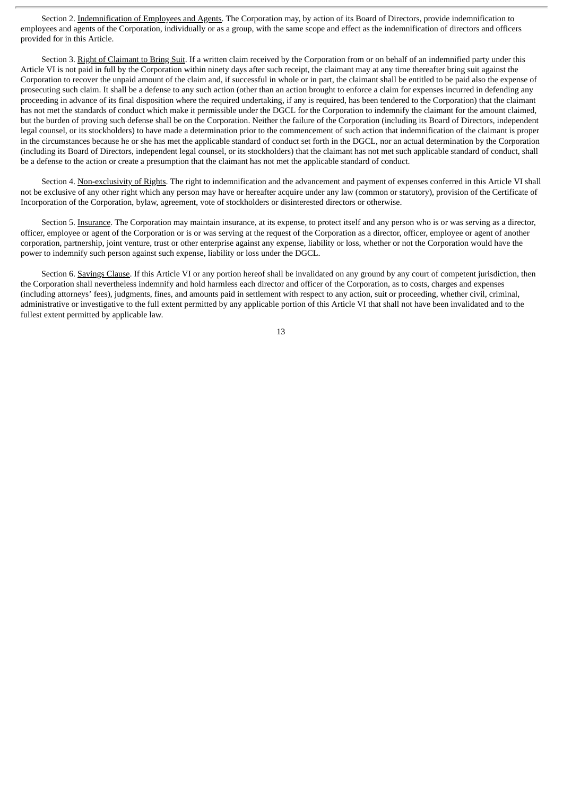Section 2. Indemnification of Employees and Agents. The Corporation may, by action of its Board of Directors, provide indemnification to employees and agents of the Corporation, individually or as a group, with the same scope and effect as the indemnification of directors and officers provided for in this Article.

Section 3. Right of Claimant to Bring Suit. If a written claim received by the Corporation from or on behalf of an indemnified party under this Article VI is not paid in full by the Corporation within ninety days after such receipt, the claimant may at any time thereafter bring suit against the Corporation to recover the unpaid amount of the claim and, if successful in whole or in part, the claimant shall be entitled to be paid also the expense of prosecuting such claim. It shall be a defense to any such action (other than an action brought to enforce a claim for expenses incurred in defending any proceeding in advance of its final disposition where the required undertaking, if any is required, has been tendered to the Corporation) that the claimant has not met the standards of conduct which make it permissible under the DGCL for the Corporation to indemnify the claimant for the amount claimed, but the burden of proving such defense shall be on the Corporation. Neither the failure of the Corporation (including its Board of Directors, independent legal counsel, or its stockholders) to have made a determination prior to the commencement of such action that indemnification of the claimant is proper in the circumstances because he or she has met the applicable standard of conduct set forth in the DGCL, nor an actual determination by the Corporation (including its Board of Directors, independent legal counsel, or its stockholders) that the claimant has not met such applicable standard of conduct, shall be a defense to the action or create a presumption that the claimant has not met the applicable standard of conduct.

Section 4. Non-exclusivity of Rights. The right to indemnification and the advancement and payment of expenses conferred in this Article VI shall not be exclusive of any other right which any person may have or hereafter acquire under any law (common or statutory), provision of the Certificate of Incorporation of the Corporation, bylaw, agreement, vote of stockholders or disinterested directors or otherwise.

Section 5. Insurance. The Corporation may maintain insurance, at its expense, to protect itself and any person who is or was serving as a director, officer, employee or agent of the Corporation or is or was serving at the request of the Corporation as a director, officer, employee or agent of another corporation, partnership, joint venture, trust or other enterprise against any expense, liability or loss, whether or not the Corporation would have the power to indemnify such person against such expense, liability or loss under the DGCL.

Section 6. Savings Clause. If this Article VI or any portion hereof shall be invalidated on any ground by any court of competent jurisdiction, then the Corporation shall nevertheless indemnify and hold harmless each director and officer of the Corporation, as to costs, charges and expenses (including attorneys' fees), judgments, fines, and amounts paid in settlement with respect to any action, suit or proceeding, whether civil, criminal, administrative or investigative to the full extent permitted by any applicable portion of this Article VI that shall not have been invalidated and to the fullest extent permitted by applicable law.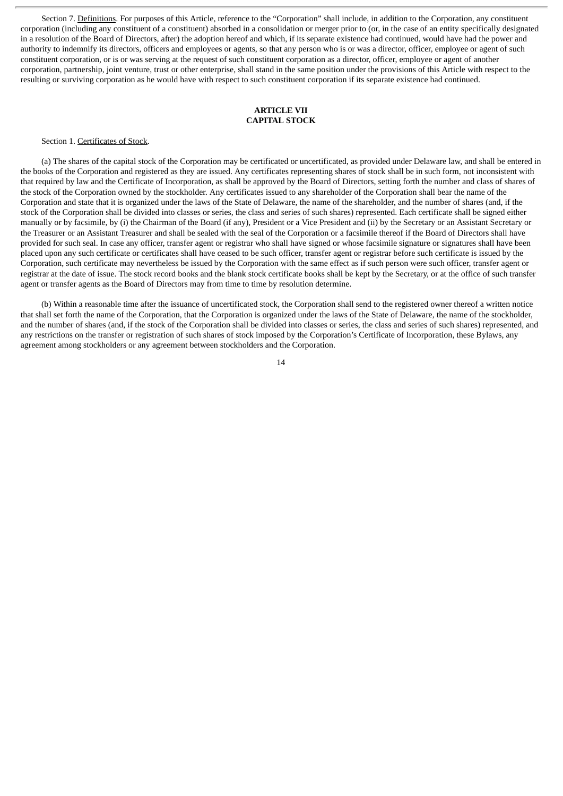Section 7. Definitions. For purposes of this Article, reference to the "Corporation" shall include, in addition to the Corporation, any constituent corporation (including any constituent of a constituent) absorbed in a consolidation or merger prior to (or, in the case of an entity specifically designated in a resolution of the Board of Directors, after) the adoption hereof and which, if its separate existence had continued, would have had the power and authority to indemnify its directors, officers and employees or agents, so that any person who is or was a director, officer, employee or agent of such constituent corporation, or is or was serving at the request of such constituent corporation as a director, officer, employee or agent of another corporation, partnership, joint venture, trust or other enterprise, shall stand in the same position under the provisions of this Article with respect to the resulting or surviving corporation as he would have with respect to such constituent corporation if its separate existence had continued.

#### **ARTICLE VII CAPITAL STOCK**

#### Section 1. Certificates of Stock.

(a) The shares of the capital stock of the Corporation may be certificated or uncertificated, as provided under Delaware law, and shall be entered in the books of the Corporation and registered as they are issued. Any certificates representing shares of stock shall be in such form, not inconsistent with that required by law and the Certificate of Incorporation, as shall be approved by the Board of Directors, setting forth the number and class of shares of the stock of the Corporation owned by the stockholder. Any certificates issued to any shareholder of the Corporation shall bear the name of the Corporation and state that it is organized under the laws of the State of Delaware, the name of the shareholder, and the number of shares (and, if the stock of the Corporation shall be divided into classes or series, the class and series of such shares) represented. Each certificate shall be signed either manually or by facsimile, by (i) the Chairman of the Board (if any), President or a Vice President and (ii) by the Secretary or an Assistant Secretary or the Treasurer or an Assistant Treasurer and shall be sealed with the seal of the Corporation or a facsimile thereof if the Board of Directors shall have provided for such seal. In case any officer, transfer agent or registrar who shall have signed or whose facsimile signature or signatures shall have been placed upon any such certificate or certificates shall have ceased to be such officer, transfer agent or registrar before such certificate is issued by the Corporation, such certificate may nevertheless be issued by the Corporation with the same effect as if such person were such officer, transfer agent or registrar at the date of issue. The stock record books and the blank stock certificate books shall be kept by the Secretary, or at the office of such transfer agent or transfer agents as the Board of Directors may from time to time by resolution determine.

(b) Within a reasonable time after the issuance of uncertificated stock, the Corporation shall send to the registered owner thereof a written notice that shall set forth the name of the Corporation, that the Corporation is organized under the laws of the State of Delaware, the name of the stockholder, and the number of shares (and, if the stock of the Corporation shall be divided into classes or series, the class and series of such shares) represented, and any restrictions on the transfer or registration of such shares of stock imposed by the Corporation's Certificate of Incorporation, these Bylaws, any agreement among stockholders or any agreement between stockholders and the Corporation.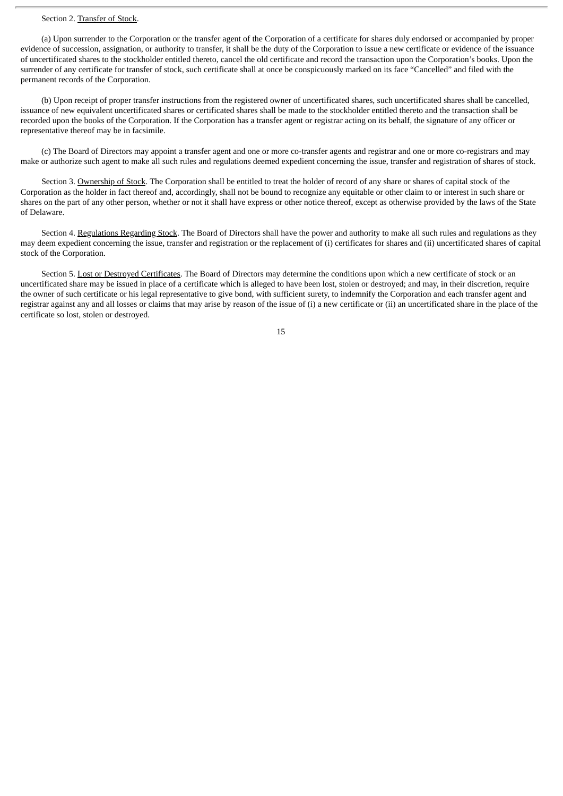#### Section 2. Transfer of Stock.

(a) Upon surrender to the Corporation or the transfer agent of the Corporation of a certificate for shares duly endorsed or accompanied by proper evidence of succession, assignation, or authority to transfer, it shall be the duty of the Corporation to issue a new certificate or evidence of the issuance of uncertificated shares to the stockholder entitled thereto, cancel the old certificate and record the transaction upon the Corporation's books. Upon the surrender of any certificate for transfer of stock, such certificate shall at once be conspicuously marked on its face "Cancelled" and filed with the permanent records of the Corporation.

(b) Upon receipt of proper transfer instructions from the registered owner of uncertificated shares, such uncertificated shares shall be cancelled, issuance of new equivalent uncertificated shares or certificated shares shall be made to the stockholder entitled thereto and the transaction shall be recorded upon the books of the Corporation. If the Corporation has a transfer agent or registrar acting on its behalf, the signature of any officer or representative thereof may be in facsimile.

(c) The Board of Directors may appoint a transfer agent and one or more co-transfer agents and registrar and one or more co-registrars and may make or authorize such agent to make all such rules and regulations deemed expedient concerning the issue, transfer and registration of shares of stock.

Section 3. Ownership of Stock. The Corporation shall be entitled to treat the holder of record of any share or shares of capital stock of the Corporation as the holder in fact thereof and, accordingly, shall not be bound to recognize any equitable or other claim to or interest in such share or shares on the part of any other person, whether or not it shall have express or other notice thereof, except as otherwise provided by the laws of the State of Delaware.

Section 4. Regulations Regarding Stock. The Board of Directors shall have the power and authority to make all such rules and regulations as they may deem expedient concerning the issue, transfer and registration or the replacement of (i) certificates for shares and (ii) uncertificated shares of capital stock of the Corporation.

Section 5. Lost or Destroyed Certificates. The Board of Directors may determine the conditions upon which a new certificate of stock or an uncertificated share may be issued in place of a certificate which is alleged to have been lost, stolen or destroyed; and may, in their discretion, require the owner of such certificate or his legal representative to give bond, with sufficient surety, to indemnify the Corporation and each transfer agent and registrar against any and all losses or claims that may arise by reason of the issue of (i) a new certificate or (ii) an uncertificated share in the place of the certificate so lost, stolen or destroyed.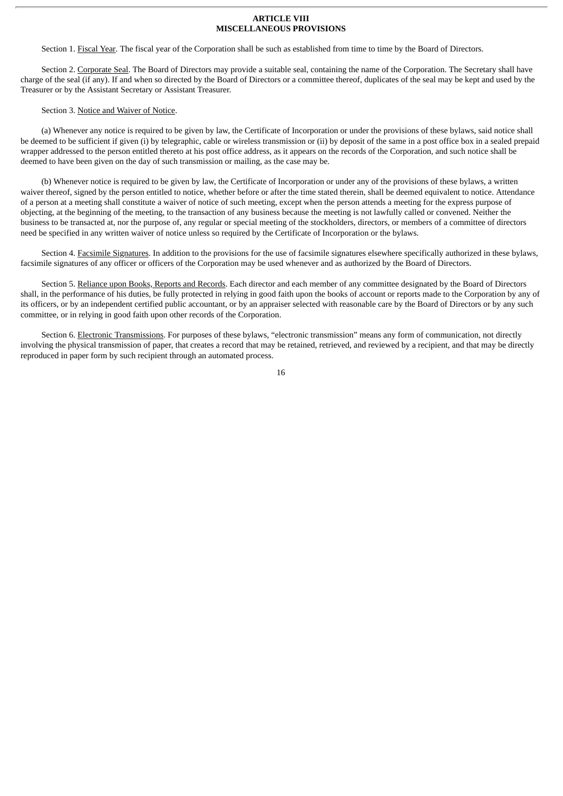#### **ARTICLE VIII MISCELLANEOUS PROVISIONS**

Section 1. Fiscal Year. The fiscal year of the Corporation shall be such as established from time to time by the Board of Directors.

Section 2. Corporate Seal. The Board of Directors may provide a suitable seal, containing the name of the Corporation. The Secretary shall have charge of the seal (if any). If and when so directed by the Board of Directors or a committee thereof, duplicates of the seal may be kept and used by the Treasurer or by the Assistant Secretary or Assistant Treasurer.

#### Section 3. Notice and Waiver of Notice.

(a) Whenever any notice is required to be given by law, the Certificate of Incorporation or under the provisions of these bylaws, said notice shall be deemed to be sufficient if given (i) by telegraphic, cable or wireless transmission or (ii) by deposit of the same in a post office box in a sealed prepaid wrapper addressed to the person entitled thereto at his post office address, as it appears on the records of the Corporation, and such notice shall be deemed to have been given on the day of such transmission or mailing, as the case may be.

(b) Whenever notice is required to be given by law, the Certificate of Incorporation or under any of the provisions of these bylaws, a written waiver thereof, signed by the person entitled to notice, whether before or after the time stated therein, shall be deemed equivalent to notice. Attendance of a person at a meeting shall constitute a waiver of notice of such meeting, except when the person attends a meeting for the express purpose of objecting, at the beginning of the meeting, to the transaction of any business because the meeting is not lawfully called or convened. Neither the business to be transacted at, nor the purpose of, any regular or special meeting of the stockholders, directors, or members of a committee of directors need be specified in any written waiver of notice unless so required by the Certificate of Incorporation or the bylaws.

Section 4. Facsimile Signatures. In addition to the provisions for the use of facsimile signatures elsewhere specifically authorized in these bylaws, facsimile signatures of any officer or officers of the Corporation may be used whenever and as authorized by the Board of Directors.

Section 5. Reliance upon Books, Reports and Records. Each director and each member of any committee designated by the Board of Directors shall, in the performance of his duties, be fully protected in relying in good faith upon the books of account or reports made to the Corporation by any of its officers, or by an independent certified public accountant, or by an appraiser selected with reasonable care by the Board of Directors or by any such committee, or in relying in good faith upon other records of the Corporation.

Section 6. Electronic Transmissions. For purposes of these bylaws, "electronic transmission" means any form of communication, not directly involving the physical transmission of paper, that creates a record that may be retained, retrieved, and reviewed by a recipient, and that may be directly reproduced in paper form by such recipient through an automated process.